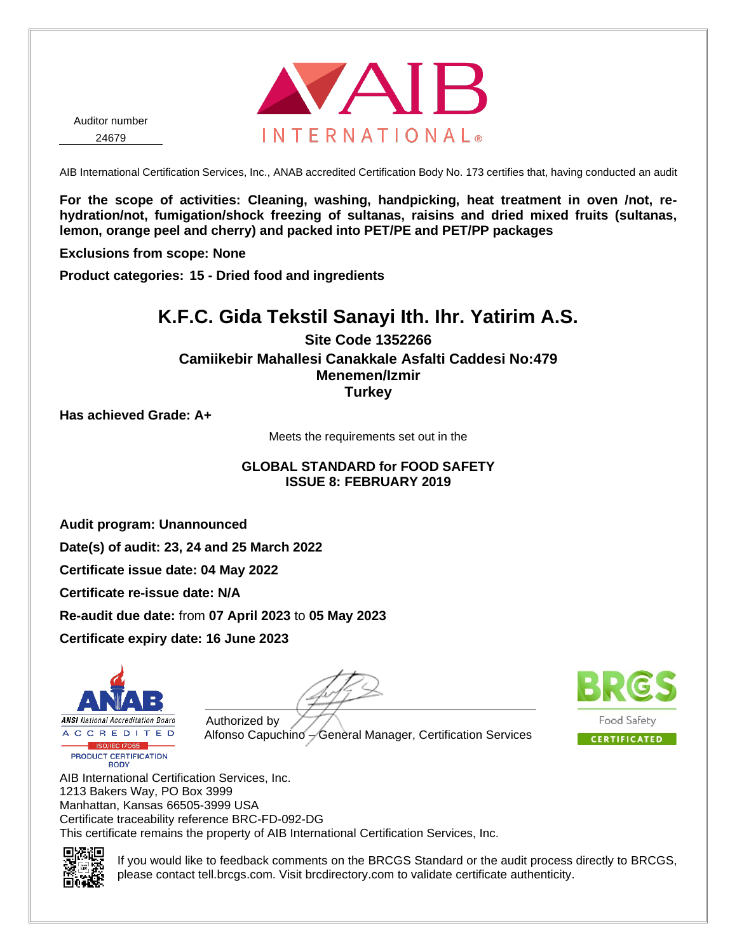

AIB International Certification Services, Inc., ANAB accredited Certification Body No. 173 certifies that, having conducted an audit

**For the scope of activities: Cleaning, washing, handpicking, heat treatment in oven /not, rehydration/not, fumigation/shock freezing of sultanas, raisins and dried mixed fruits (sultanas, lemon, orange peel and cherry) and packed into PET/PE and PET/PP packages**

**Exclusions from scope: None**

**Product categories: 15 - Dried food and ingredients**

### **K.F.C. Gida Tekstil Sanayi Ith. Ihr. Yatirim A.S.**

**Site Code 1352266 Camiikebir Mahallesi Canakkale Asfalti Caddesi No:479 Menemen/Izmir Turkey**

**Has achieved Grade: A+**

Meets the requirements set out in the

### **GLOBAL STANDARD for FOOD SAFETY ISSUE 8: FEBRUARY 2019**

**Audit program: Unannounced**

**Date(s) of audit: 23, 24 and 25 March 2022**

**Certificate issue date: 04 May 2022**

**Certificate re-issue date: N/A**

**Re-audit due date:** from **07 April 2023** to **05 May 2023**

**Certificate expiry date: 16 June 2023**



Authorized by

Alfonso Capuchino – General Manager, Certification Services



AIB International Certification Services, Inc. 1213 Bakers Way, PO Box 3999 Manhattan, Kansas 66505-3999 USA Certificate traceability reference BRC-FD-092-DG This certificate remains the property of AIB International Certification Services, Inc.



If you would like to feedback comments on the BRCGS Standard or the audit process directly to BRCGS, please contact tell.brcgs.com. Visit brcdirectory.com to validate certificate authenticity.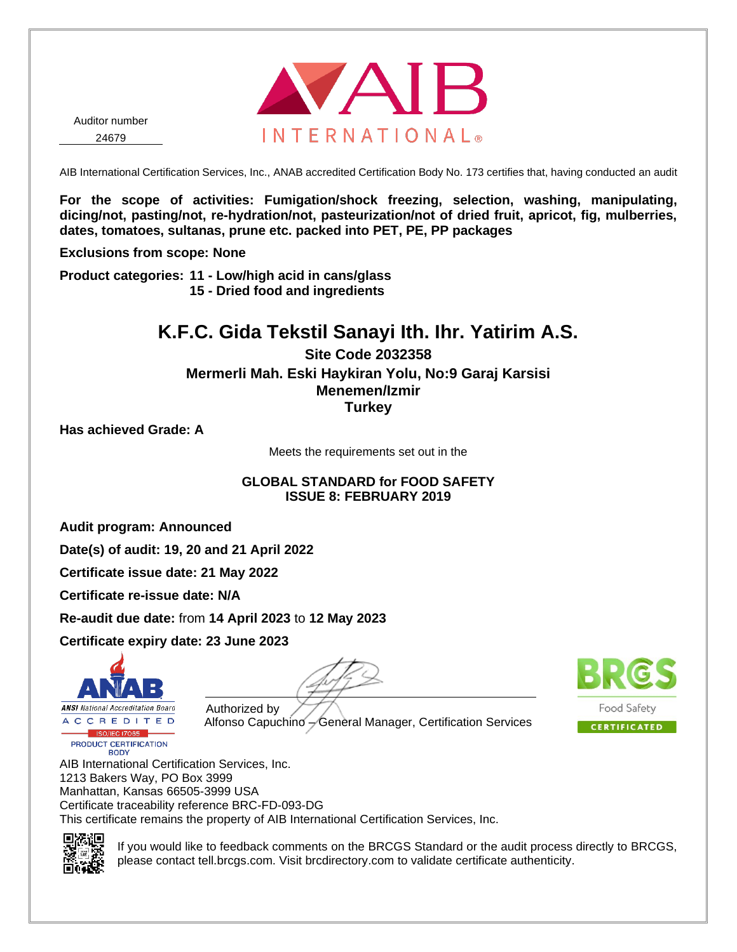

AIB International Certification Services, Inc., ANAB accredited Certification Body No. 173 certifies that, having conducted an audit

**For the scope of activities: Fumigation/shock freezing, selection, washing, manipulating, dicing/not, pasting/not, re-hydration/not, pasteurization/not of dried fruit, apricot, fig, mulberries, dates, tomatoes, sultanas, prune etc. packed into PET, PE, PP packages**

**Exclusions from scope: None**

**Product categories: 11 - Low/high acid in cans/glass 15 - Dried food and ingredients**

## **K.F.C. Gida Tekstil Sanayi Ith. Ihr. Yatirim A.S.**

**Site Code 2032358 Mermerli Mah. Eski Haykiran Yolu, No:9 Garaj Karsisi Menemen/Izmir Turkey**

**Has achieved Grade: A**

Meets the requirements set out in the

### **GLOBAL STANDARD for FOOD SAFETY ISSUE 8: FEBRUARY 2019**

**Audit program: Announced**

**Date(s) of audit: 19, 20 and 21 April 2022**

**Certificate issue date: 21 May 2022**

**Certificate re-issue date: N/A**

**Re-audit due date:** from **14 April 2023** to **12 May 2023**

**Certificate expiry date: 23 June 2023**



PRODUCT CERTIFICATION **BODY** 



Authorized by Alfonso Capuchino – General Manager, Certification Services



AIB International Certification Services, Inc. 1213 Bakers Way, PO Box 3999 Manhattan, Kansas 66505-3999 USA Certificate traceability reference BRC-FD-093-DG This certificate remains the property of AIB International Certification Services, Inc.



If you would like to feedback comments on the BRCGS Standard or the audit process directly to BRCGS, please contact tell.brcgs.com. Visit brcdirectory.com to validate certificate authenticity.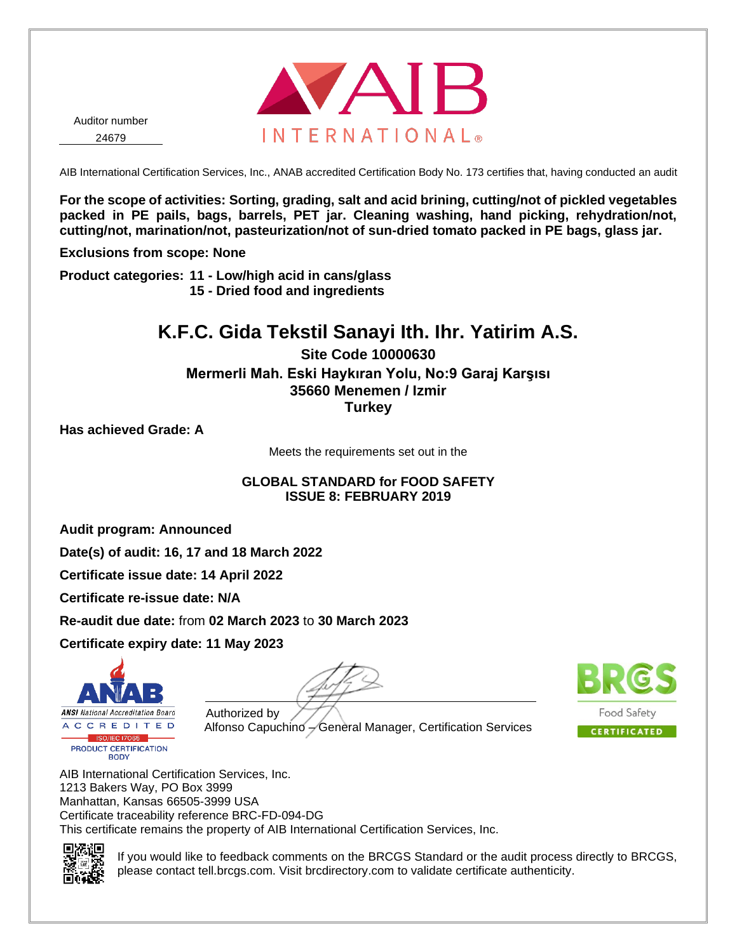

AIB International Certification Services, Inc., ANAB accredited Certification Body No. 173 certifies that, having conducted an audit

**For the scope of activities: Sorting, grading, salt and acid brining, cutting/not of pickled vegetables packed in PE pails, bags, barrels, PET jar. Cleaning washing, hand picking, rehydration/not, cutting/not, marination/not, pasteurization/not of sun-dried tomato packed in PE bags, glass jar.**

**Exclusions from scope: None**

**Product categories: 11 - Low/high acid in cans/glass 15 - Dried food and ingredients**

### **K.F.C. Gida Tekstil Sanayi Ith. Ihr. Yatirim A.S.**

**Site Code 10000630 Mermerli Mah. Eski Haykıran Yolu, No:9 Garaj Karşısı 35660 Menemen / Izmir Turkey**

**Has achieved Grade: A**

Meets the requirements set out in the

#### **GLOBAL STANDARD for FOOD SAFETY ISSUE 8: FEBRUARY 2019**

**Audit program: Announced**

**Date(s) of audit: 16, 17 and 18 March 2022**

**Certificate issue date: 14 April 2022**

**Certificate re-issue date: N/A**

**Re-audit due date:** from **02 March 2023** to **30 March 2023**

**Certificate expiry date: 11 May 2023**



Authorized by Alfonso Capuchino – General Manager, Certification Services



AIB International Certification Services, Inc. 1213 Bakers Way, PO Box 3999 Manhattan, Kansas 66505-3999 USA Certificate traceability reference BRC-FD-094-DG This certificate remains the property of AIB International Certification Services, Inc.



If you would like to feedback comments on the BRCGS Standard or the audit process directly to BRCGS, please contact tell.brcgs.com. Visit brcdirectory.com to validate certificate authenticity.